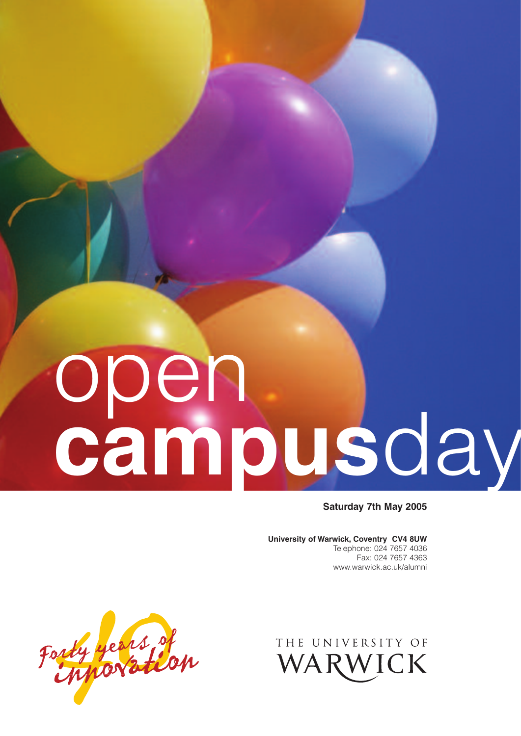# open **campus**day

**Saturday 7th May 2005**

**University of Warwick, Coventry CV4 8UW** Telephone: 024 7657 4036 Fax: 024 7657 4363 www.warwick.ac.uk/alumni



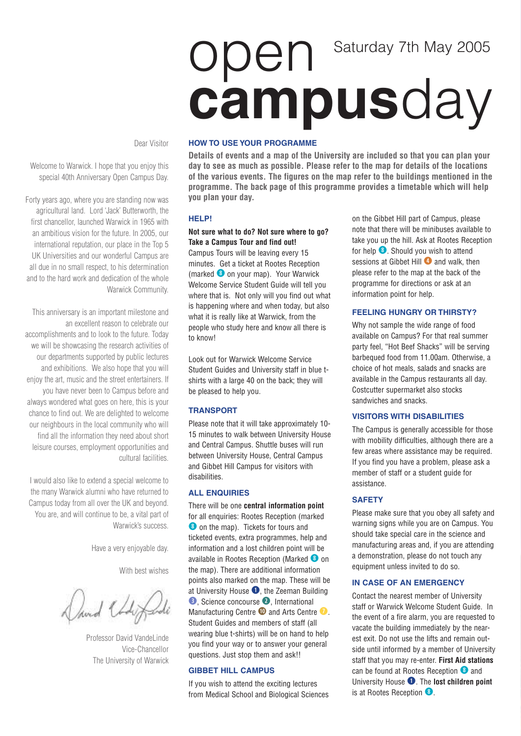# open **campus**day Saturday 7th May 2005

Dear Visitor

Welcome to Warwick. I hope that you enjoy this special 40th Anniversary Open Campus Day.

Forty years ago, where you are standing now was agricultural land. Lord 'Jack' Butterworth, the first chancellor, launched Warwick in 1965 with an ambitious vision for the future. In 2005, our international reputation, our place in the Top 5 UK Universities and our wonderful Campus are all due in no small respect, to his determination and to the hard work and dedication of the whole Warwick Community.

This anniversary is an important milestone and an excellent reason to celebrate our accomplishments and to look to the future. Today we will be showcasing the research activities of our departments supported by public lectures and exhibitions. We also hope that you will enjoy the art, music and the street entertainers. If you have never been to Campus before and always wondered what goes on here, this is your chance to find out. We are delighted to welcome our neighbours in the local community who will find all the information they need about short leisure courses, employment opportunities and cultural facilities.

I would also like to extend a special welcome to the many Warwick alumni who have returned to Campus today from all over the UK and beyond. You are, and will continue to be, a vital part of Warwick's success.

Have a very enjoyable day.

With best wishes

Javid Chal

Professor David VandeLinde Vice-Chancellor The University of Warwick

#### **HOW TO USE YOUR PROGRAMME**

**Details of events and a map of the University are included so that you can plan your day to see as much as possible. Please refer to the map for details of the locations of the various events. The figures on the map refer to the buildings mentioned in the programme. The back page of this programme provides a timetable which will help you plan your day.** 

#### **HELP!**

#### **Not sure what to do? Not sure where to go? Take a Campus Tour and find out!**

Campus Tours will be leaving every 15 minutes. Get a ticket at Rootes Reception (marked **8** on your map). Your Warwick Welcome Service Student Guide will tell you where that is. Not only will you find out what is happening where and when today, but also what it is really like at Warwick, from the people who study here and know all there is to know!

Look out for Warwick Welcome Service Student Guides and University staff in blue tshirts with a large 40 on the back; they will be pleased to help you.

#### **TRANSPORT**

Please note that it will take approximately 10- 15 minutes to walk between University House and Central Campus. Shuttle buses will run between University House, Central Campus and Gibbet Hill Campus for visitors with disabilities.

#### **ALL ENQUIRIES**

There will be one **central information point** for all enquiries: Rootes Reception (marked *i* on the map). Tickets for tours and ticketed events, extra programmes, help and information and a lost children point will be available in Rootes Reception (Marked **i** on the map). There are additional information points also marked on the map. These will be at University House **q**, the Zeeman Building  $\bullet$ , Science concourse  $\bullet$ , International Manufacturing Centre **1)** and Arts Centre **u**. Student Guides and members of staff (all wearing blue t-shirts) will be on hand to help you find your way or to answer your general questions. Just stop them and ask!!

#### **GIBBET HILL CAMPUS**

If you wish to attend the exciting lectures from Medical School and Biological Sciences on the Gibbet Hill part of Campus, please note that there will be minibuses available to take you up the hill. Ask at Rootes Reception for help  $\bullet$ . Should you wish to attend sessions at Gibbet Hill **4** and walk, then please refer to the map at the back of the programme for directions or ask at an information point for help.

#### **FEELING HUNGRY OR THIRSTY?**

Why not sample the wide range of food available on Campus? For that real summer party feel, "Hot Beef Shacks" will be serving barbequed food from 11.00am. Otherwise, a choice of hot meals, salads and snacks are available in the Campus restaurants all day. Costcutter supermarket also stocks sandwiches and snacks.

#### **VISITORS WITH DISABILITIES**

The Campus is generally accessible for those with mobility difficulties, although there are a few areas where assistance may be required. If you find you have a problem, please ask a member of staff or a student guide for assistance.

#### **SAFETY**

Please make sure that you obey all safety and warning signs while you are on Campus. You should take special care in the science and manufacturing areas and, if you are attending a demonstration, please do not touch any equipment unless invited to do so.

#### **IN CASE OF AN EMERGENCY**

Contact the nearest member of University staff or Warwick Welcome Student Guide. In the event of a fire alarm, you are requested to vacate the building immediately by the nearest exit. Do not use the lifts and remain outside until informed by a member of University staff that you may re-enter. **First Aid stations** can be found at Rootes Reception **i** and University House **q**. The **lost children point** is at Rootes Reception **0**.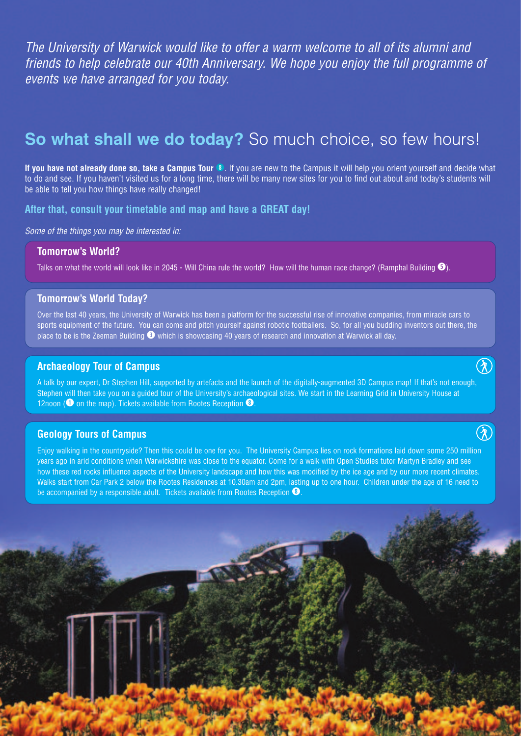*The University of Warwick would like to offer a warm welcome to all of its alumni and friends to help celebrate our 40th Anniversary. We hope you enjoy the full programme of events we have arranged for you today.*

# **So what shall we do today?** So much choice, so few hours!

If you have not already done so, take a Campus Tour<sup>8</sup>. If you are new to the Campus it will help you orient yourself and decide what to do and see. If you haven't visited us for a long time, there will be many new sites for you to find out about and today's students will be able to tell you how things have really changed!

**After that, consult your timetable and map and have a GREAT day!**

*Some of the things you may be interested in:*

#### **Tomorrow's World?**

Talks on what the world will look like in 2045 - Will China rule the world? How will the human race change? (Ramphal Building **t**).

#### **Tomorrow's World Today?**

Over the last 40 years, the University of Warwick has been a platform for the successful rise of innovative companies, from miracle cars to sports equipment of the future. You can come and pitch yourself against robotic footballers. So, for all you budding inventors out there, the place to be is the Zeeman Building **e** which is showcasing 40 years of research and innovation at Warwick all day.

#### **Archaeology Tour of Campus**

A talk by our expert, Dr Stephen Hill, supported by artefacts and the launch of the digitally-augmented 3D Campus map! If that's not enough, Stephen will then take you on a guided tour of the University's archaeological sites. We start in the Learning Grid in University House at 12noon (**q** on the map). Tickets available from Rootes Reception **i**.

 $\bigcirc$ 

 $\left( \widehat{\mathbf{\mathbf{\lambda}}}\right)$ 

#### **Geology Tours of Campus**

Enjoy walking in the countryside? Then this could be one for you. The University Campus lies on rock formations laid down some 250 million years ago in arid conditions when Warwickshire was close to the equator. Come for a walk with Open Studies tutor Martyn Bradley and see how these red rocks influence aspects of the University landscape and how this was modified by the ice age and by our more recent climates. Walks start from Car Park 2 below the Rootes Residences at 10.30am and 2pm, lasting up to one hour. Children under the age of 16 need to be accompanied by a responsible adult. Tickets available from Rootes Reception <sup>3</sup>.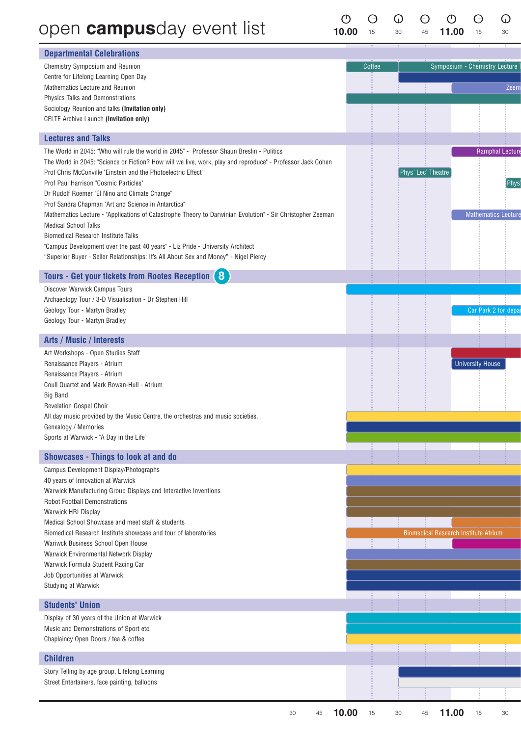# open campusday event list

 $\begin{matrix}\n0 & 0 \\
\hline\n10.00 & 15\n\end{matrix}$  $\Theta$  $\mathbb{O}$  $\circ$  $\Theta$  $\bigcirc$  $\Theta$ 11.00  $30\,$  $45\,$  $30^{\circ}$ 15

| <b>Departmental Celebrations</b>                                                                                             |             |                                             |
|------------------------------------------------------------------------------------------------------------------------------|-------------|---------------------------------------------|
| Chemistry Symposium and Reunion                                                                                              | Coffee      | Symposium - Chemistry Lecture               |
| Centre for Lifelong Learning Open Day                                                                                        |             |                                             |
| Mathematics Lecture and Reunion<br>Physics Talks and Demonstrations                                                          |             | Zeem                                        |
| Sociology Reunion and talks (Invitation only)                                                                                |             |                                             |
| CELTE Archive Launch (Invitation only)                                                                                       |             |                                             |
| <b>Lectures and Talks</b>                                                                                                    |             |                                             |
| The World in 2045: "Who will rule the world in 2045" - Professor Shaun Breslin - Politics                                    |             | Ramphal Lecture                             |
| The World in 2045: "Science or Fiction? How will we live, work, play and reproduce" - Professor Jack Cohen                   |             |                                             |
| Prof Chris McConville "Einstein and the Photoelectric Effect"                                                                |             | Phys' Lec' Theatre                          |
| Prof Paul Harrison "Cosmic Particles"<br>Dr Rudolf Roemer "El Nino and Climate Change"                                       |             | Phys                                        |
| Prof Sandra Chapman "Art and Science in Antarctica"                                                                          |             |                                             |
| Mathematics Lecture - "Applications of Catastrophe Theory to Darwinian Evolution" - Sir Christopher Zeeman                   |             | <b>Mathematics Lecture</b>                  |
| <b>Medical School Talks</b>                                                                                                  |             |                                             |
| <b>Biomedical Research Institute Talks</b><br>"Campus Development over the past 40 years" - Liz Pride - University Architect |             |                                             |
| "Superior Buyer - Seller Relationships: It's All About Sex and Money" - Nigel Piercy                                         |             |                                             |
| Tours - Get your tickets from Rootes Reception (8)                                                                           |             |                                             |
| Discover Warwick Campus Tours                                                                                                |             |                                             |
| Archaeology Tour / 3-D Visualisation - Dr Stephen Hill                                                                       |             |                                             |
| Geology Tour - Martyn Bradley                                                                                                |             | Car Park 2 for depa                         |
| Geology Tour - Martyn Bradley                                                                                                |             |                                             |
| <b>Arts / Music / Interests</b>                                                                                              |             |                                             |
| Art Workshops - Open Studies Staff                                                                                           |             |                                             |
| Renaissance Players - Atrium                                                                                                 |             | <b>University House</b>                     |
| Renaissance Players - Atrium                                                                                                 |             |                                             |
| Coull Quartet and Mark Rowan-Hull - Atrium<br><b>Big Band</b>                                                                |             |                                             |
| Revelation Gospel Choir                                                                                                      |             |                                             |
| All day music provided by the Music Centre, the orchestras and music societies.                                              |             |                                             |
| Genealogy / Memories                                                                                                         |             |                                             |
| Sports at Warwick - "A Day in the Life"                                                                                      |             |                                             |
| <b>Showcases - Things to look at and do</b>                                                                                  |             |                                             |
| Campus Development Display/Photographs                                                                                       |             |                                             |
| 40 years of Innovation at Warwick<br>Warwick Manufacturing Group Displays and Interactive Inventions                         |             |                                             |
| <b>Robot Football Demonstrations</b>                                                                                         |             |                                             |
| Warwick HRI Display                                                                                                          |             |                                             |
| Medical School Showcase and meet staff & students                                                                            |             |                                             |
| Biomedical Research Institute showcase and tour of laboratories<br>Wariwck Business School Open House                        |             | <b>Biomedical Research Institute Atrium</b> |
| Warwick Environmental Network Display                                                                                        |             |                                             |
| Warwick Formula Student Racing Car                                                                                           |             |                                             |
| Job Opportunities at Warwick                                                                                                 |             |                                             |
| Studying at Warwick                                                                                                          |             |                                             |
| <b>Students' Union</b>                                                                                                       |             |                                             |
| Display of 30 years of the Union at Warwick                                                                                  |             |                                             |
| Music and Demonstrations of Sport etc.                                                                                       |             |                                             |
| Chaplaincy Open Doors / tea & coffee                                                                                         |             |                                             |
| <b>Children</b>                                                                                                              |             |                                             |
| Story Telling by age group, Lifelong Learning                                                                                |             |                                             |
| Street Entertainers, face painting, balloons                                                                                 |             |                                             |
|                                                                                                                              |             |                                             |
| 30<br>45                                                                                                                     | 10.00<br>15 | 11.00<br>45<br>15<br>30<br>30               |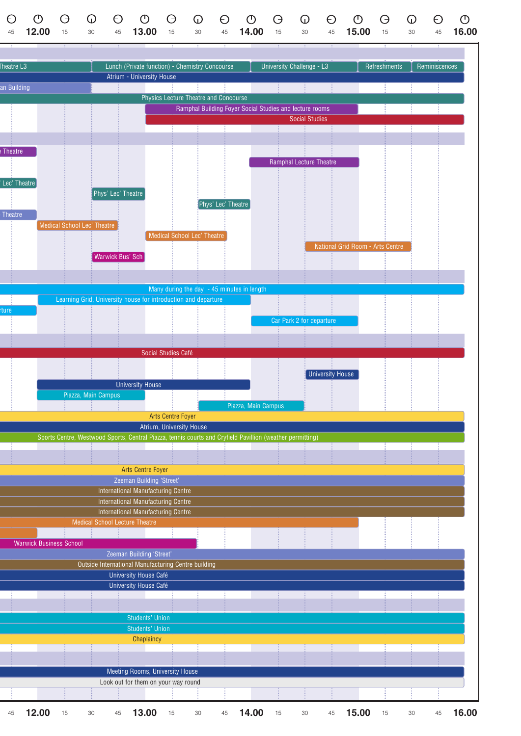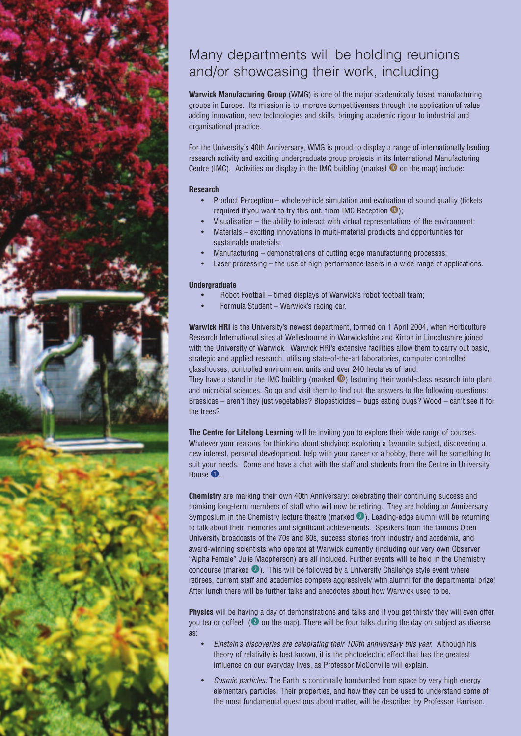

## Many departments will be holding reunions and/or showcasing their work, including

**Warwick Manufacturing Group** (WMG) is one of the major academically based manufacturing groups in Europe. Its mission is to improve competitiveness through the application of value adding innovation, new technologies and skills, bringing academic rigour to industrial and organisational practice.

For the University's 40th Anniversary, WMG is proud to display a range of internationally leading research activity and exciting undergraduate group projects in its International Manufacturing Centre (IMC). Activities on display in the IMC building (marked **<sup>0</sup>** on the map) include:

#### **Research**

- Product Perception whole vehicle simulation and evaluation of sound quality (tickets required if you want to try this out, from IMC Reception **a**);
- Visualisation the ability to interact with virtual representations of the environment;
- Materials exciting innovations in multi-material products and opportunities for sustainable materials;
- Manufacturing demonstrations of cutting edge manufacturing processes;
- Laser processing  $-$  the use of high performance lasers in a wide range of applications.

#### **Undergraduate**

- Robot Football timed displays of Warwick's robot football team;
- Formula Student Warwick's racing car.

**Warwick HRI** is the University's newest department, formed on 1 April 2004, when Horticulture Research International sites at Wellesbourne in Warwickshire and Kirton in Lincolnshire joined with the University of Warwick. Warwick HRI's extensive facilities allow them to carry out basic, strategic and applied research, utilising state-of-the-art laboratories, computer controlled glasshouses, controlled environment units and over 240 hectares of land.

They have a stand in the IMC building (marked **1)** featuring their world-class research into plant and microbial sciences. So go and visit them to find out the answers to the following questions: Brassicas – aren't they just vegetables? Biopesticides – bugs eating bugs? Wood – can't see it for the trees?

**The Centre for Lifelong Learning** will be inviting you to explore their wide range of courses. Whatever your reasons for thinking about studying: exploring a favourite subject, discovering a new interest, personal development, help with your career or a hobby, there will be something to suit your needs. Come and have a chat with the staff and students from the Centre in University House **q**.

**Chemistry** are marking their own 40th Anniversary; celebrating their continuing success and thanking long-term members of staff who will now be retiring. They are holding an Anniversary Symposium in the Chemistry lecture theatre (marked **w**). Leading-edge alumni will be returning to talk about their memories and significant achievements. Speakers from the famous Open University broadcasts of the 70s and 80s, success stories from industry and academia, and award-winning scientists who operate at Warwick currently (including our very own Observer "Alpha Female" Julie Macpherson) are all included. Further events will be held in the Chemistry concourse (marked **@**). This will be followed by a University Challenge style event where retirees, current staff and academics compete aggressively with alumni for the departmental prize! After lunch there will be further talks and anecdotes about how Warwick used to be.

**Physics** will be having a day of demonstrations and talks and if you get thirsty they will even offer you tea or coffee! (**w** on the map). There will be four talks during the day on subject as diverse as:

- *Einstein's discoveries are celebrating their 100th anniversary this year.* Although his theory of relativity is best known, it is the photoelectric effect that has the greatest influence on our everyday lives, as Professor McConville will explain.
- *Cosmic particles:* The Earth is continually bombarded from space by very high energy elementary particles. Their properties, and how they can be used to understand some of the most fundamental questions about matter, will be described by Professor Harrison.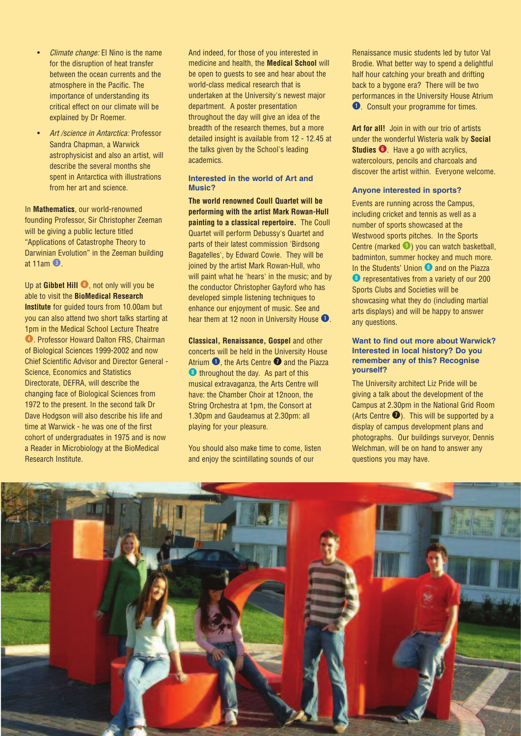- *Climate change:* El Nino is the name for the disruption of heat transfer between the ocean currents and the atmosphere in the Pacific. The importance of understanding its critical effect on our climate will be explained by Dr Roemer.
- *Art /science in Antarctica:* Professor Sandra Chapman, a Warwick astrophysicist and also an artist, will describe the several months she spent in Antarctica with illustrations from her art and science.

In **Mathematics**, our world-renowned founding Professor, Sir Christopher Zeeman will be giving a public lecture titled "Applications of Catastrophe Theory to Darwinian Evolution" in the Zeeman building at 11am **e**.

Up at **Gibbet Hill .**, not only will you be able to visit the **BioMedical Research Institute** for guided tours from 10.00am but you can also attend two short talks starting at 1pm in the Medical School Lecture Theatre **<sup>1</sup>**. Professor Howard Dalton FRS, Chairman of Biological Sciences 1999-2002 and now Chief Scientific Advisor and Director General - Science, Economics and Statistics Directorate, DEFRA, will describe the changing face of Biological Sciences from 1972 to the present. In the second talk Dr Dave Hodgson will also describe his life and time at Warwick - he was one of the first cohort of undergraduates in 1975 and is now a Reader in Microbiology at the BioMedical Research Institute.

And indeed, for those of you interested in medicine and health, the **Medical School** will be open to guests to see and hear about the world-class medical research that is undertaken at the University's newest major department. A poster presentation throughout the day will give an idea of the breadth of the research themes, but a more detailed insight is available from 12 - 12.45 at the talks given by the School's leading academics.

#### **Interested in the world of Art and Music?**

**The world renowned Coull Quartet will be performing with the artist Mark Rowan-Hull painting to a classical repertoire.** The Coull Quartet will perform Debussy's Quartet and parts of their latest commission 'Birdsong Bagatelles', by Edward Cowie. They will be joined by the artist Mark Rowan-Hull, who will paint what he 'hears' in the music; and by the conductor Christopher Gayford who has developed simple listening techniques to enhance our enjoyment of music. See and hear them at 12 noon in University House **q**.

**Classical, Renaissance, Gospel** and other concerts will be held in the University House Atrium **q**, the Arts Centre **u** and the Piazza **<sup>1</sup>** throughout the day. As part of this musical extravaganza, the Arts Centre will have: the Chamber Choir at 12noon, the String Orchestra at 1pm, the Consort at 1.30pm and Gaudeamus at 2.30pm: all playing for your pleasure.

You should also make time to come, listen and enjoy the scintillating sounds of our

Renaissance music students led by tutor Val Brodie. What better way to spend a delightful half hour catching your breath and drifting back to a bygone era? There will be two performances in the University House Atrium **q**. Consult your programme for times.

**Art for all!** Join in with our trio of artists under the wonderful Wisteria walk by **Social Studies**  $\bigcirc$ . Have a go with acrylics, watercolours, pencils and charcoals and discover the artist within. Everyone welcome.

#### **Anyone interested in sports?**

Events are running across the Campus, including cricket and tennis as well as a number of sports showcased at the Westwood sports pitches. In the Sports Centre (marked **o**) you can watch basketball, badminton, summer hockey and much more. In the Students' Union <sup>8</sup> and on the Piazza *C* representatives from a variety of our 200 Sports Clubs and Societies will be showcasing what they do (including martial arts displays) and will be happy to answer any questions.

#### **Want to find out more about Warwick? Interested in local history? Do you remember any of this? Recognise yourself?**

The University architect Liz Pride will be giving a talk about the development of the Campus at 2.30pm in the National Grid Room (Arts Centre  $\bullet$ ). This will be supported by a display of campus development plans and photographs. Our buildings surveyor, Dennis Welchman, will be on hand to answer any questions you may have.